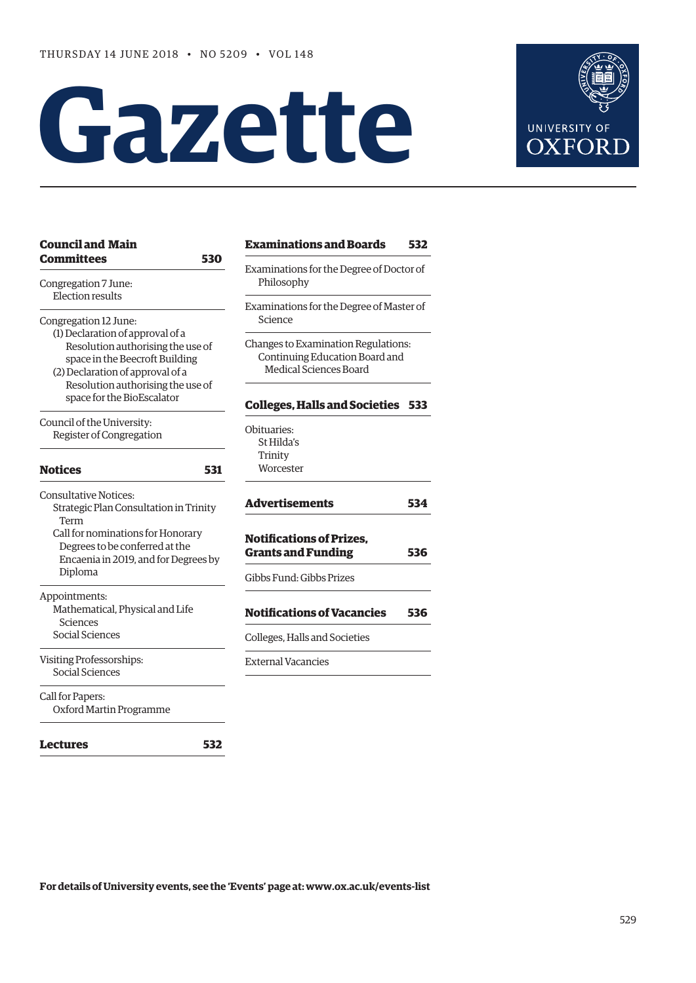# **Gazette**



| <b>Council and Main</b>                                                                                                                                                                       | <b>Examinations and Boards</b>                                                                         | 532 |
|-----------------------------------------------------------------------------------------------------------------------------------------------------------------------------------------------|--------------------------------------------------------------------------------------------------------|-----|
| <b>Committees</b><br>530<br>Congregation 7 June:                                                                                                                                              | Examinations for the Degree of Doctor of<br>Philosophy                                                 |     |
| <b>Election results</b><br>Congregation 12 June:                                                                                                                                              | Examinations for the Degree of Master of<br>Science                                                    |     |
| (1) Declaration of approval of a<br>Resolution authorising the use of<br>space in the Beecroft Building<br>(2) Declaration of approval of a<br>Resolution authorising the use of              | Changes to Examination Regulations:<br>Continuing Education Board and<br><b>Medical Sciences Board</b> |     |
| space for the BioEscalator                                                                                                                                                                    | <b>Colleges, Halls and Societies 533</b>                                                               |     |
| Council of the University:<br>Register of Congregation                                                                                                                                        | Obituaries:<br>St Hilda's                                                                              |     |
| <b>Notices</b><br>531                                                                                                                                                                         | Trinity<br>Worcester                                                                                   |     |
| <b>Consultative Notices:</b><br>Strategic Plan Consultation in Trinity<br>Term<br>Call for nominations for Honorary<br>Degrees to be conferred at the<br>Encaenia in 2019, and for Degrees by | <b>Advertisements</b>                                                                                  | 534 |
|                                                                                                                                                                                               | <b>Notifications of Prizes,</b><br><b>Grants and Funding</b>                                           | 536 |
| Diploma                                                                                                                                                                                       | Gibbs Fund: Gibbs Prizes                                                                               |     |
| Appointments:<br>Mathematical, Physical and Life<br>Sciences                                                                                                                                  | <b>Notifications of Vacancies</b>                                                                      | 536 |
| Social Sciences                                                                                                                                                                               | Colleges, Halls and Societies                                                                          |     |
| Visiting Professorships:<br>Social Sciences                                                                                                                                                   | <b>External Vacancies</b>                                                                              |     |
| Call for Papers:<br>Oxford Martin Programme                                                                                                                                                   |                                                                                                        |     |
| 532<br><b>Lectures</b>                                                                                                                                                                        |                                                                                                        |     |

**For details of University events, see the 'Events' page at: [www.ox.ac.uk/events-list](http://www.ox.ac.uk/events-list)**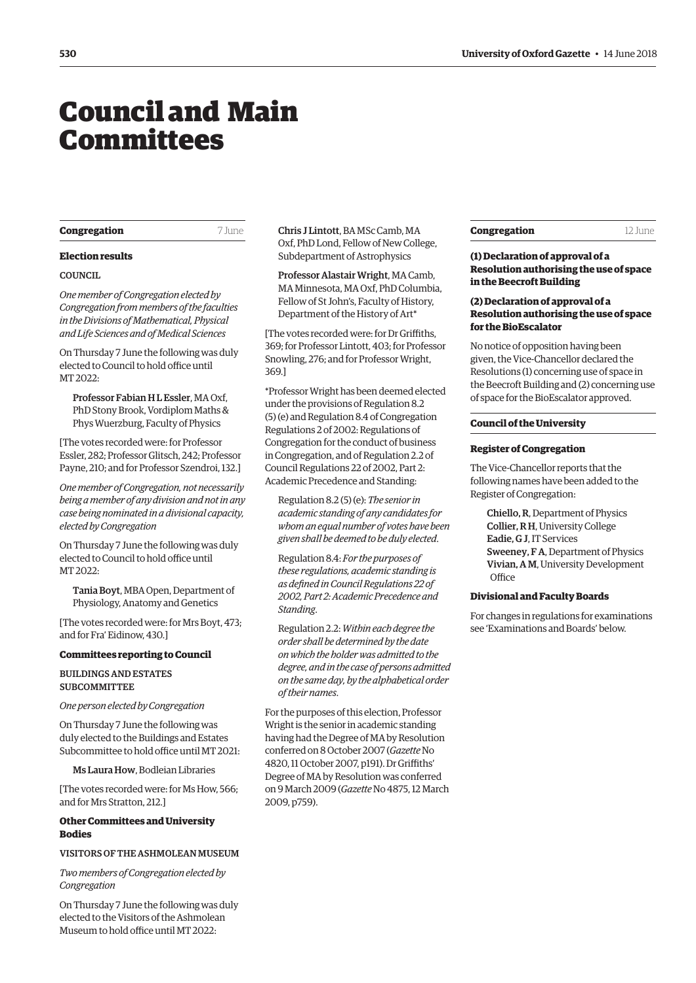# <span id="page-1-0"></span>Council and Main **Committees**

#### **Congregation** 7 June

## **Election results**

#### COUNCIL

*One member of Congregation elected by Congregation from members of the faculties in the Divisions of Mathematical, Physical and Life Sciences and of Medical Sciences*

On Thursday 7 June the following was duly elected to Council to hold office until MT 2022:

Professor Fabian H L Essler, MA Oxf, PhD Stony Brook, Vordiplom Maths & Phys Wuerzburg, Faculty of Physics

[The votes recorded were: for Professor Essler, 282; Professor Glitsch, 242; Professor Payne, 210; and for Professor Szendroi, 132.]

*One member of Congregation, not necessarily being a member of any division and not in any case being nominated in a divisional capacity, elected by Congregation*

On Thursday 7 June the following was duly elected to Council to hold office until MT 2022:

Tania Boyt, MBA Open, Department of Physiology, Anatomy and Genetics

[The votes recorded were: for Mrs Boyt, 473; and for Fra' Eidinow, 430.]

#### **Committees reporting to Council**

BUILDINGS AND ESTATES **SURCOMMITTEE** 

*One person elected by Congregation*

On Thursday 7 June the following was duly elected to the Buildings and Estates Subcommittee to hold office until MT 2021:

Ms Laura How, Bodleian Libraries

[The votes recorded were: for Ms How, 566; and for Mrs Stratton, 212.]

# **Other Committees and University Bodies**

# VISITORS OF THE ASHMOLEAN MUSEUM

*Two members of Congregation elected by Congregation*

On Thursday 7 June the following was duly elected to the Visitors of the Ashmolean Museum to hold office until MT 2022:

Chris J Lintott, BA MSc Camb, MA Oxf, PhD Lond, Fellow of New College, Subdepartment of Astrophysics

Professor Alastair Wright, MA Camb, MA Minnesota, MA Oxf, PhD Columbia, Fellow of St John's, Faculty of History, Department of the History of Art\*

[The votes recorded were: for Dr Griffiths, 369; for Professor Lintott, 403; for Professor Snowling, 276; and for Professor Wright, 369.]

\*Professor Wright has been deemed elected under the provisions of Regulation 8.2 (5) (e) and Regulation 8.4 of Congregation Regulations 2 of 2002: Regulations of Congregation for the conduct of business in Congregation, and of Regulation 2.2 of Council Regulations 22 of 2002, Part 2: Academic Precedence and Standing:

Regulation 8.2 (5) (e): *The senior in academic standing of any candidates for whom an equal number of votes have been given shall be deemed to be duly elected*.

Regulation 8.4: *For the purposes of these regulations, academic standing is as defined in Council Regulations 22 of 2002, Part 2: Academic Precedence and Standing*.

Regulation 2.2: *Within each degree the order shall be determined by the date on which the holder was admitted to the degree, and in the case of persons admitted on the same day, by the alphabetical order of their names*.

For the purposes of this election, Professor Wright is the senior in academic standing having had the Degree of MA by Resolution conferred on 8 October 2007 (*Gazette* No 4820, 11 October 2007, p191). Dr Griffiths' Degree of MA by Resolution was conferred on 9 March 2009 (*Gazette* No 4875, 12 March 2009, p759).

| <b>Congregation</b> | 12 June |
|---------------------|---------|
|---------------------|---------|

# **(1) Declaration of approval of a Resolution authorising the use of space in the Beecroft Building**

# **(2) Declaration of approval of a Resolution authorising the use of space for the BioEscalator**

No notice of opposition having been given, the Vice-Chancellor declared the Resolutions (1) concerning use of space in the Beecroft Building and (2) concerning use of space for the BioEscalator approved.

## **Council of the University**

#### **Register of Congregation**

The Vice-Chancellor reports that the following names have been added to the Register of Congregation:

Chiello, R, Department of Physics Collier, R H, University College Eadie, G J, IT Services Sweeney, F A, Department of Physics Vivian, A M, University Development **Office** 

#### **Divisional and Faculty Boards**

For changes in regulations for examinations see 'Examinations and Boards' below.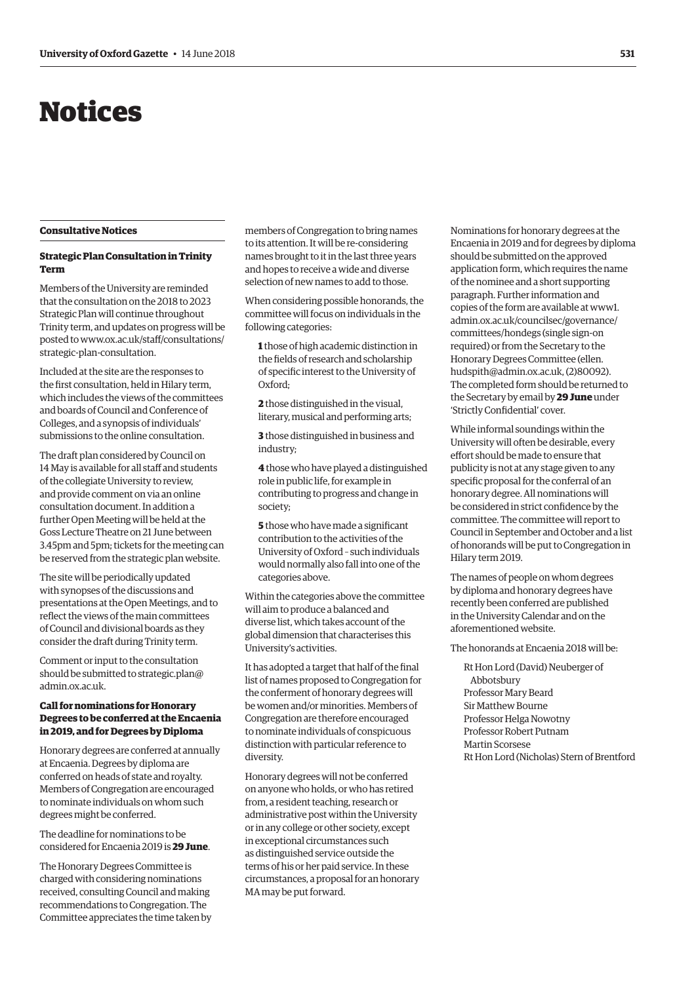# <span id="page-2-0"></span>Notices

## **Consultative Notices**

# **Strategic Plan Consultation in Trinity Term**

Members of the University are reminded that the consultation on the 2018 to 2023 Strategic Plan will continue throughout Trinity term, and updates on progress will be [posted to www.ox.ac.uk/staff/consultations/](www.ox.ac.uk/staff/consultations/stategic-plan-consultation) strategic-plan-consultation.

Included at the site are the responses to the first consultation, held in Hilary term, which includes the views of the committees and boards of Council and Conference of Colleges, and a synopsis of individuals' submissions to the online consultation.

The draft plan considered by Council on 14 May is available for all staff and students of the collegiate University to review, and provide comment on via an online consultation document. In addition a further Open Meeting will be held at the Goss Lecture Theatre on 21 June between 3.45pm and 5pm; tickets for the meeting can be reserved from the strategic plan website.

The site will be periodically updated with synopses of the discussions and presentations at the Open Meetings, and to reflect the views of the main committees of Council and divisional boards as they consider the draft during Trinity term.

Comment or input to the consultation [should be submitted to strategic.plan@](mailto:strategic.plan@admin.ox.ac.uk) admin.ox.ac.uk.

# **Call for nominations for Honorary Degrees to be conferred at the Encaenia in 2019, and for Degrees by Diploma**

Honorary degrees are conferred at annually at Encaenia. Degrees by diploma are conferred on heads of state and royalty. Members of Congregation are encouraged to nominate individuals on whom such degrees might be conferred.

The deadline for nominations to be considered for Encaenia 2019 is **29 June**.

The Honorary Degrees Committee is charged with considering nominations received, consulting Council and making recommendations to Congregation. The Committee appreciates the time taken by members of Congregation to bring names to its attention. It will be re-considering names brought to it in the last three years and hopes to receive a wide and diverse selection of new names to add to those.

When considering possible honorands, the committee will focus on individuals in the following categories:

**1** those of high academic distinction in the fields of research and scholarship of specific interest to the University of Oxford;

**2** those distinguished in the visual, literary, musical and performing arts;

**3** those distinguished in business and industry;

**4** those who have played a distinguished role in public life, for example in contributing to progress and change in society;

**5** those who have made a significant contribution to the activities of the University of Oxford – such individuals would normally also fall into one of the categories above.

Within the categories above the committee will aim to produce a balanced and diverse list, which takes account of the global dimension that characterises this University's activities.

It has adopted a target that half of the final list of names proposed to Congregation for the conferment of honorary degrees will be women and/or minorities. Members of Congregation are therefore encouraged to nominate individuals of conspicuous distinction with particular reference to diversity.

Honorary degrees will not be conferred on anyone who holds, or who has retired from, a resident teaching, research or administrative post within the University or in any college or other society, except in exceptional circumstances such as distinguished service outside the terms of his or her paid service. In these circumstances, a proposal for an honorary MA may be put forward.

Nominations for honorary degrees at the Encaenia in 2019 and for degrees by diploma should be submitted on the approved application form, which requires the name of the nominee and a short supporting paragraph. Further information and [copies of the form are available at www1.](www1.admin.ox.ac.uk/councilsec/governance/committees/hondegs) admin.ox.ac.uk/councilsec/governance/ committees/hondegs (single sign-on required) or from the Secretary to the Honorary Degrees Committee (ellen. [hudspith@admin.ox.ac.uk, \(2\)80092\).](mailto:ellen.hudspith@admin.ox.ac.uk)  The completed form should be returned to the Secretary by email by **29 June** under 'Strictly Confidential' cover.

While informal soundings within the University will often be desirable, every effort should be made to ensure that publicity is not at any stage given to any specific proposal for the conferral of an honorary degree. All nominations will be considered in strict confidence by the committee. The committee will report to Council in September and October and a list of honorands will be put to Congregation in Hilary term 2019.

The names of people on whom degrees by diploma and honorary degrees have recently been conferred are published in the University Calendar and on the aforementioned website.

The honorands at Encaenia 2018 will be:

Rt Hon Lord (David) Neuberger of Abbotsbury Professor Mary Beard Sir Matthew Bourne Professor Helga Nowotny Professor Robert Putnam Martin Scorsese Rt Hon Lord (Nicholas) Stern of Brentford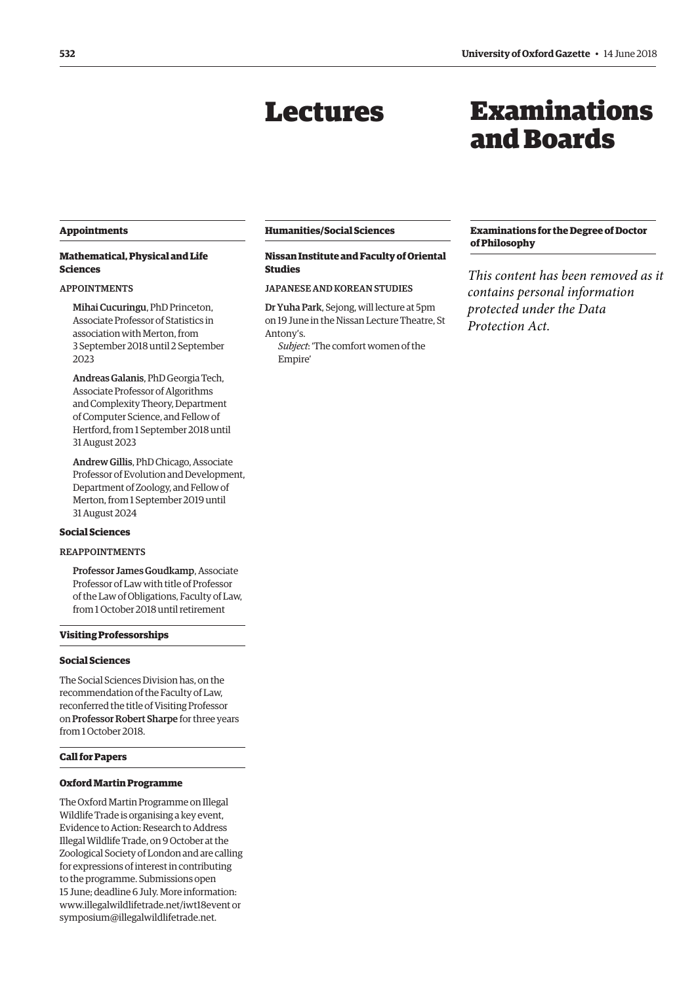# Lectures

# Examinations and Boards

# <span id="page-3-0"></span>**Appointments**

# **Mathematical, Physical and Life Sciences**

# APPOINTMENTS

Mihai Cucuringu, PhD Princeton, Associate Professor of Statistics in association with Merton, from 3 September 2018 until 2 September 2023

Andreas Galanis, PhD Georgia Tech, Associate Professor of Algorithms and Complexity Theory, Department of Computer Science, and Fellow of Hertford, from 1 September 2018 until 31 August 2023

Andrew Gillis, PhD Chicago, Associate Professor of Evolution and Development, Department of Zoology, and Fellow of Merton, from 1 September 2019 until 31 August 2024

# **Social Sciences**

# REAPPOINTMENTS

Professor James Goudkamp, Associate Professor of Law with title of Professor of the Law of Obligations, Faculty of Law, from 1 October 2018 until retirement

# **Visiting Professorships**

# **Social Sciences**

The Social Sciences Division has, on the recommendation of the Faculty of Law, reconferred the title of Visiting Professor on Professor Robert Sharpe for three years from 1 October 2018.

# **Call for Papers**

# **Oxford Martin Programme**

The Oxford Martin Programme on Illegal Wildlife Trade is organising a key event, Evidence to Action: Research to Address Illegal Wildlife Trade, on 9 October at the Zoological Society of London and are calling for expressions of interest in contributing to the programme. Submissions open 15 June; deadline 6 July. More information: [www.illegalwildlifetrade.net/iwt18event or](http://www.illegalwildlifetrade.net/iwt18event) [symposium@illegalwildlifetrade.net.](mailto:symposium@illegalwildlifetrade.net)

#### **Humanities/Social Sciences**

# **Nissan Institute and Faculty of Oriental Studies**

# JAPANESE AND KOREAN STUDIES

Dr Yuha Park, Sejong, will lecture at 5pm on 19 June in the Nissan Lecture Theatre, St Antony's.

*Subject*: 'The comfort women of the Empire'

# **Examinations for the Degree of Doctor of Philosophy**

*This content has been removed as it contains personal information protected under the Data Protection Act.*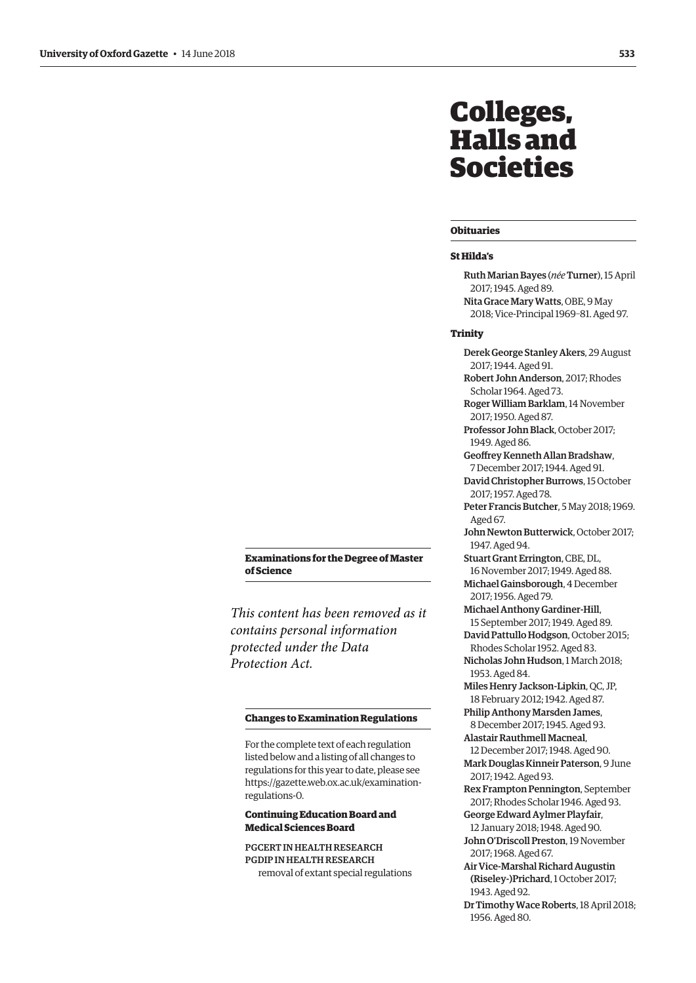# <span id="page-4-0"></span>Colleges, Halls and Societies

#### **Obituaries**

#### **St Hilda's**

Ruth Marian Bayes (*née*Turner), 15 April 2017; 1945. Aged 89. Nita Grace Mary Watts, OBE, 9 May 2018; Vice-Principal 1969–81. Aged 97.

Derek George Stanley Akers, 29 August

Robert John Anderson, 2017; Rhodes

2017; 1944. Aged 91.

#### **Trinity**

**Examinations for the Degree of Master of Science**

*This content has been removed as it contains personal information protected under the Data Protection Act.*

#### **Changes to Examination Regulations**

For the complete text of each regulation listed below and a listing of all changes to regulations for this year to date, please see [https://gazette.web.ox.ac.uk/examination](https://gazette.web.ox.ac.uk/examination-regulations-0)regulations-0.

# **Continuing Education Board and Medical Sciences Board**

PGCERT IN HEALTH RESEARCH PGDIP IN HEALTH RESEARCH removal of extant special regulations

Scholar 1964. Aged 73. Roger William Barklam, 14 November 2017; 1950. Aged 87. Professor John Black, October 2017; 1949. Aged 86. Geoffrey Kenneth Allan Bradshaw, 7 December 2017; 1944. Aged 91. David Christopher Burrows, 15 October 2017; 1957. Aged 78. Peter Francis Butcher, 5 May 2018; 1969.

Aged 67.

- John Newton Butterwick, October 2017; 1947. Aged 94.
- Stuart Grant Errington, CBE, DL, 16 November 2017; 1949. Aged 88.

Michael Gainsborough, 4 December 2017; 1956. Aged 79.

Michael Anthony Gardiner-Hill, 15 September 2017; 1949. Aged 89.

David Pattullo Hodgson, October 2015; Rhodes Scholar 1952. Aged 83.

Nicholas John Hudson, 1 March 2018; 1953. Aged 84.

Miles Henry Jackson-Lipkin, QC, JP, 18 February 2012; 1942. Aged 87.

Philip Anthony Marsden James, 8 December 2017; 1945. Aged 93.

Alastair Rauthmell Macneal, 12 December 2017; 1948. Aged 90. Mark Douglas Kinneir Paterson, 9 June 2017; 1942. Aged 93.

Rex Frampton Pennington, September 2017; Rhodes Scholar 1946. Aged 93.

George Edward Aylmer Playfair, 12 January 2018; 1948. Aged 90.

John O'Driscoll Preston, 19 November 2017; 1968. Aged 67.

Air Vice-Marshal Richard Augustin (Riseley-)Prichard, 1 October 2017; 1943. Aged 92.

Dr Timothy Wace Roberts, 18 April 2018; 1956. Aged 80.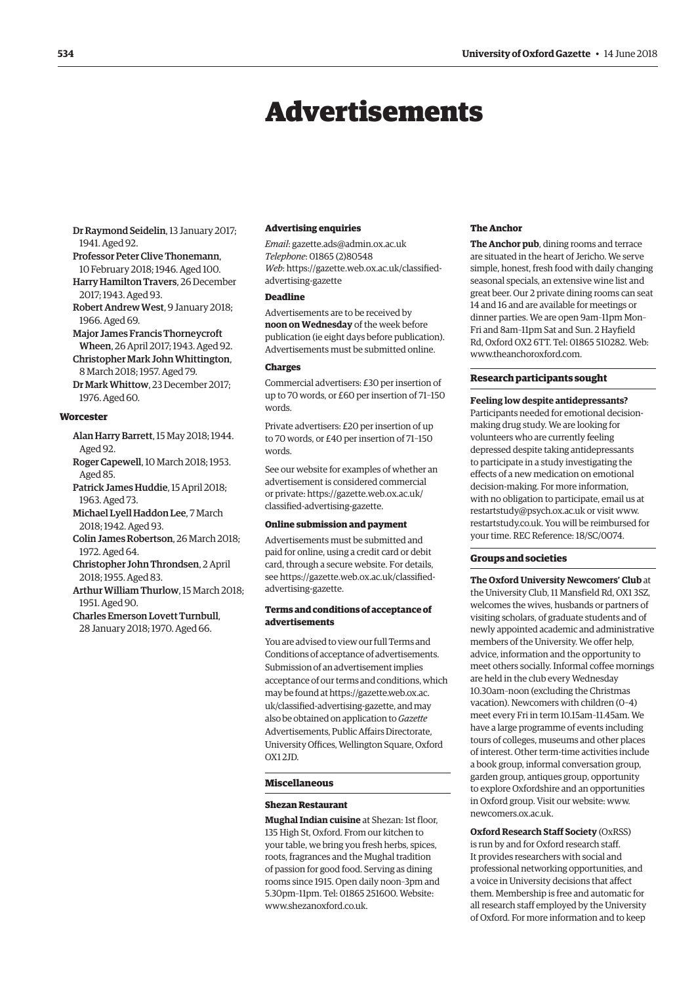# Advertisements

<span id="page-5-0"></span>Dr Raymond Seidelin, 13 January 2017; 1941. Aged 92.

- Professor Peter Clive Thonemann, 10 February 2018; 1946. Aged 100. Harry Hamilton Travers, 26 December 2017; 1943. Aged 93.
- Robert Andrew West, 9 January 2018; 1966. Aged 69.

Major James Francis Thorneycroft

- Wheen, 26 April 2017; 1943. Aged 92.
- Christopher Mark John Whittington, 8 March 2018; 1957. Aged 79.
- Dr Mark Whittow, 23 December 2017; 1976. Aged 60.

## **Worcester**

- Alan Harry Barrett, 15 May 2018; 1944. Aged 92.
- Roger Capewell, 10 March 2018; 1953. Aged 85.
- Patrick James Huddie, 15 April 2018; 1963. Aged 73.
- Michael Lyell Haddon Lee, 7 March 2018; 1942. Aged 93.
- Colin James Robertson, 26 March 2018; 1972. Aged 64.
- Christopher John Throndsen, 2 April 2018; 1955. Aged 83.
- Arthur William Thurlow, 15 March 2018; 1951. Aged 90.
- Charles Emerson Lovett Turnbull, 28 January 2018; 1970. Aged 66.

#### **Advertising enquiries**

*Email*: [gazette.ads@admin.ox.ac.uk](mailto:gazette.ads@admin.ox.ac.uk) *Telephone*: 01865 (2)80548 *Web*[: https://gazette.web.ox.ac.uk/classified](https://gazette.web.ox.ac.uk/classified-advertising-gazette)advertising-[gazette](https://gazette.web.ox.ac.uk/classified-advertising-gazette)

# **Deadline**

Advertisements are to be received by **noon on Wednesday** of the week before publication (ie eight days before publication). Advertisements must be submitted online.

#### **Charges**

Commercial advertisers: £30 per insertion of up to 70 words, or £60 per insertion of 71–150 words.

Private advertisers: £20 per insertion of up to 70 words, or £40 per insertion of 71–150 words.

See our website for examples of whether an advertisement is considered commercial [or private: https://gazette.web.ox.ac.uk/](https://gazette.web.ox.ac.uk/classified-advertising-gazette) classified-advertising-gazette.

#### **Online submission and payment**

Advertisements must be submitted and paid for online, using a credit card or debit card, through a secure website. For details, [see https://gazette.web.ox.ac.uk/classified](https://gazette.web.ox.ac.uk/classified-advertising-gazette)advertising-[gazette.](https://gazette.web.ox.ac.uk/classified-advertising-gazette)

# **Terms and conditions of acceptance of advertisements**

You are advised to view our full Terms and Conditions of acceptance of advertisements. Submission of an advertisement implies acceptance of our terms and conditions, which may be found at https://gazette.web.ox.ac. [uk/classified-advertising-gazette, and may](https://gazette.web.ox.ac.uk/classified-advertising-gazette)  also be obtained on application to *Gazette* Advertisements, Public Affairs Directorate, University Offices, Wellington Square, Oxford OX1 2JD.

#### **Miscellaneous**

#### **Shezan Restaurant**

**Mughal Indian cuisine** at Shezan: 1st floor, 135 High St, Oxford. From our kitchen to your table, we bring you fresh herbs, spices, roots, fragrances and the Mughal tradition of passion for good food. Serving as dining rooms since 1915. Open daily noon–3pm and 5.30pm–11pm. Tel: 01865 251600. Website: www.shezanoxford.co.uk

#### **The Anchor**

**The Anchor pub**, dining rooms and terrace are situated in the heart of Jericho. We serve simple, honest, fresh food with daily changing seasonal specials, an extensive wine list and great beer. Our 2 private dining rooms can seat 14 and 16 and are available for meetings or dinner parties. We are open 9am–11pm Mon– Fri and 8am–11pm Sat and Sun. 2 Hayfield Rd, Oxford OX2 6TT. Tel: 01865 510282. Web: [www.theanchoroxford.com.](http://www.theanchoroxford.com)

#### **Research participants sought**

**Feeling low despite antidepressants?**  Participants needed for emotional decisionmaking drug study. We are looking for volunteers who are currently feeling depressed despite taking antidepressants to participate in a study investigating the effects of a new medication on emotional decision-making. For more information, with no obligation to participate, email us at [restartstudy@psych.ox.ac.uk or](mailto:restartstudy@psych.ox.ac.uk) visit [www.](http://www.restartstudy.co.uk) [restartstudy.co.uk. Yo](http://www.restartstudy.co.uk)u will be reimbursed for your time. REC Reference: 18/SC/0074.

#### **Groups and societies**

**The Oxford University Newcomers' Club** at the University Club, 11 Mansfield Rd, OX1 3SZ, welcomes the wives, husbands or partners of visiting scholars, of graduate students and of newly appointed academic and administrative members of the University. We offer help, advice, information and the opportunity to meet others socially. Informal coffee mornings are held in the club every Wednesday 10.30am–noon (excluding the Christmas vacation). Newcomers with children (0–4) meet every Fri in term 10.15am–11.45am. We have a large programme of events including tours of colleges, museums and other places of interest. Other term-time activities include a book group, informal conversation group, garden group, antiques group, opportunity to explore Oxfordshire and an opportunities in Oxford group. Visit our website: [www.](http://www.newcomers.ox.ac.uk) [newcomers.ox.ac.uk.](http://www.newcomers.ox.ac.uk) 

**Oxford Research Staff Society** (OxRSS) is run by and for Oxford research staff. It provides researchers with social and professional networking opportunities, and a voice in University decisions that affect them. Membership is free and automatic for all research staff employed by the University of Oxford. For more information and to keep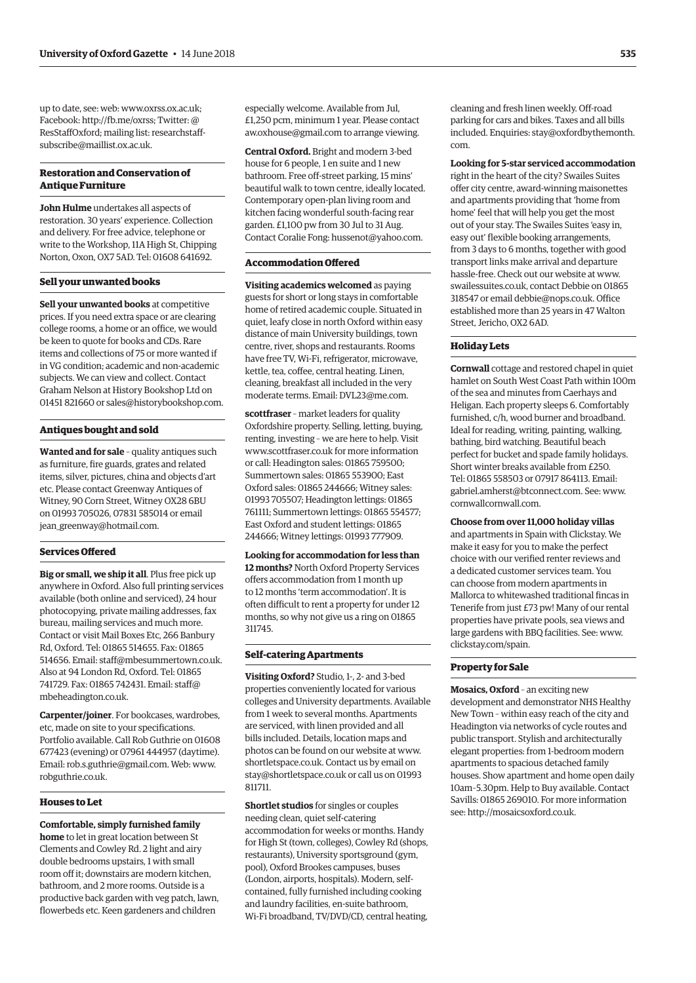up to date, see: web: [www.oxrss.ox.ac.uk;](http://www.oxrss.ox.ac.uk)  Facebook: [http://fb.me/oxrss; Tw](http://fb.me/oxrss)itter: @ [ResStaffOxford; mailing list: researchstaff](mailto:researchstaff-subscribe@maillist.ox.ac.uk)subscribe@[maillist.ox.ac.uk.](mailto:researchstaff-subscribe@maillist.ox.ac.uk)

# **Restoration and Conservation of Antique Furniture**

**John Hulme** undertakes all aspects of restoration. 30 years' experience. Collection and delivery. For free advice, telephone or write to the Workshop, 11A High St, Chipping Norton, Oxon, OX7 5AD. Tel: 01608 641692.

#### **Sell your unwanted books**

**Sell your unwanted books** at competitive prices. If you need extra space or are clearing college rooms, a home or an office, we would be keen to quote for books and CDs. Rare items and collections of 75 or more wanted if in VG condition; academic and non-academic subjects. We can view and collect. Contact Graham Nelson at History Bookshop Ltd on 01451 821660 or [sales@historybookshop.com.](mailto:sales@historybookshop.com)

# **Antiques bought and sold**

**Wanted and for sale** – quality antiques such as furniture, fire guards, grates and related items, silver, pictures, china and objects d'art etc. Please contact Greenway Antiques of Witney, 90 Corn Street, Witney OX28 6BU on 01993 705026, 07831 585014 or email [jean\\_greenway@hotmail.com.](mailto:jean_greenway@hotmail.com)

## **Services Offered**

**Big or small, we ship it all**. Plus free pick up anywhere in Oxford. Also full printing services available (both online and serviced), 24 hour photocopying, private mailing addresses, fax bureau, mailing services and much more. Contact or visit Mail Boxes Etc, 266 Banbury Rd, Oxford. Tel: 01865 514655. Fax: 01865 514656. Email: [staff@mbesummertown.co.uk.](mailto:staff@mbesummertown.co.uk)  Also at 94 London Rd, Oxford. Tel: 01865 [741729. Fax: 01865 742431. Email: staff@](mailto:staff@mbeheadington.co.uk) mbeheadington.co.uk.

**Carpenter/joiner**. For bookcases, wardrobes, etc, made on site to your specifications. Portfolio available. Call Rob Guthrie on 01608 677423 (evening) or 07961 444957 (daytime). Email: [rob.s.guthrie@gmail.com. W](mailto:rob.s.guthrie@gmail.com)eb: [www.](http://www.robguthrie.co.uk) [robguthrie.co.uk.](http://www.robguthrie.co.uk)

#### **Houses to Let**

**Comfortable, simply furnished family home** to let in great location between St Clements and Cowley Rd. 2 light and airy double bedrooms upstairs, 1 with small room off it; downstairs are modern kitchen, bathroom, and 2 more rooms. Outside is a productive back garden with veg patch, lawn, flowerbeds etc. Keen gardeners and children

especially welcome. Available from Jul, £1,250 pcm, minimum 1 year. Please contact [aw.oxhouse@gmail.com to](mailto:aw.oxhouse@gmail.com) arrange viewing.

**Central Oxford.** Bright and modern 3-bed house for 6 people, 1 en suite and 1 new bathroom. Free off-street parking, 15 mins' beautiful walk to town centre, ideally located. Contemporary open-plan living room and kitchen facing wonderful south-facing rear garden. £1,100 pw from 30 Jul to 31 Aug. Contact Coralie Fong: [hussenot@yahoo.com.](mailto:hussenot@yahoo.com)

# **Accommodation Offered**

**Visiting academics welcomed** as paying guests for short or long stays in comfortable home of retired academic couple. Situated in quiet, leafy close in north Oxford within easy distance of main University buildings, town centre, river, shops and restaurants. Rooms have free TV, Wi-Fi, refrigerator, microwave, kettle, tea, coffee, central heating. Linen, cleaning, breakfast all included in the very moderate terms. Email: [DVL23@me.com.](mailto:DVL23@me.com)

**scottfraser** – market leaders for quality Oxfordshire property. Selling, letting, buying, renting, investing – we are here to help. Visit [www.scottfraser.co.uk fo](http://www.scottfraser.co.uk)r more information or call: Headington sales: 01865 759500; Summertown sales: 01865 553900; East Oxford sales: 01865 244666; Witney sales: 01993 705507; Headington lettings: 01865 761111; Summertown lettings: 01865 554577; East Oxford and student lettings: 01865 244666; Witney lettings: 01993 777909.

**Looking for accommodation for less than 12 months?** North Oxford Property Services offers accommodation from 1 month up to 12 months 'term accommodation'. It is often difficult to rent a property for under 12 months, so why not give us a ring on 01865 311745.

#### **Self-catering Apartments**

**Visiting Oxford?** Studio, 1-, 2- and 3-bed properties conveniently located for various colleges and University departments. Available from 1 week to several months. Apartments are serviced, with linen provided and all bills included. Details, location maps and photos can be found on our website at [www.](http://www.shortletspace.co.uk) [shortletspace.co.uk. Co](http://www.shortletspace.co.uk)ntact us by email on [stay@shortletspace.co.uk or](mailto:stay@shortletspace.co.uk) call us on 01993 811711.

**Shortlet studios** for singles or couples needing clean, quiet self-catering accommodation for weeks or months. Handy for High St (town, colleges), Cowley Rd (shops, restaurants), University sportsground (gym, pool), Oxford Brookes campuses, buses (London, airports, hospitals). Modern, selfcontained, fully furnished including cooking and laundry facilities, en-suite bathroom, Wi-Fi broadband, TV/DVD/CD, central heating,

cleaning and fresh linen weekly. Off-road parking for cars and bikes. Taxes and all bills [included. Enquiries: stay@oxfordbythemonth.](mailto:stay@oxfordbythemonth.com) com.

**Looking for 5-star serviced accommodation** right in the heart of the city? Swailes Suites offer city centre, award-winning maisonettes and apartments providing that 'home from home' feel that will help you get the most out of your stay. The Swailes Suites 'easy in, easy out' flexible booking arrangements, from 3 days to 6 months, together with good transport links make arrival and departure hassle-free. Check out our website at [www.](http://www.swailessuites.co.uk) [swailessuites.co.uk, co](http://www.swailessuites.co.uk)ntact Debbie on 01865 318547 or email [debbie@nops.co.uk. Of](mailto:debbie@nops.co.uk)fice established more than 25 years in 47 Walton Street, Jericho, OX2 6AD.

#### **Holiday Lets**

**Cornwall** cottage and restored chapel in quiet hamlet on South West Coast Path within 100m of the sea and minutes from Caerhays and Heligan. Each property sleeps 6. Comfortably furnished, c/h, wood burner and broadband. Ideal for reading, writing, painting, walking, bathing, bird watching. Beautiful beach perfect for bucket and spade family holidays. Short winter breaks available from £250. Tel: 01865 558503 or 07917 864113. Email: [gabriel.amherst@btconnect.com. Se](mailto:gabriel.amherst@btconnect.com)e: [www.](http://www.cornwallcornwall.com) [cornwallcornwall.com.](http://www.cornwallcornwall.com)

**Choose from over 11,000 holiday villas**

and apartments in Spain with Clickstay. We make it easy for you to make the perfect choice with our verified renter reviews and a dedicated customer services team. You can choose from modern apartments in Mallorca to whitewashed traditional fincas in Tenerife from just £73 pw! Many of our rental properties have private pools, sea views and large gardens with BBQ facilities. See: [www.](http://www.clickstay.com/spain) [clickstay.com/spain.](http://www.clickstay.com/spain)

#### **Property for Sale**

**Mosaics, Oxford** – an exciting new development and demonstrator NHS Healthy New Town – within easy reach of the city and Headington via networks of cycle routes and public transport. Stylish and architecturally elegant properties: from 1-bedroom modern apartments to spacious detached family houses. Show apartment and home open daily 10am–5.30pm. Help to Buy available. Contact Savills: 01865 269010. For more information see: [http://mosaicsoxford.co.uk.](http://mosaicsoxford.co.uk)